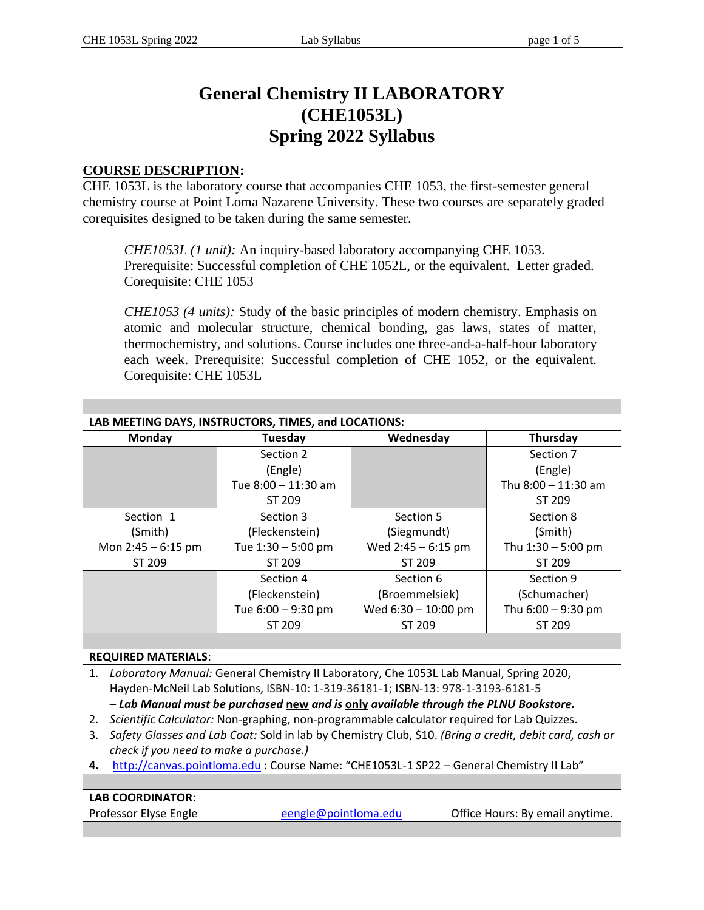# **General Chemistry II LABORATORY (CHE1053L) Spring 2022 Syllabus**

#### **COURSE DESCRIPTION:**

CHE 1053L is the laboratory course that accompanies CHE 1053, the first-semester general chemistry course at Point Loma Nazarene University. These two courses are separately graded corequisites designed to be taken during the same semester.

*CHE1053L (1 unit):* An inquiry-based laboratory accompanying CHE 1053. Prerequisite: Successful completion of CHE 1052L, or the equivalent. Letter graded. Corequisite: CHE 1053

*CHE1053 (4 units):* Study of the basic principles of modern chemistry. Emphasis on atomic and molecular structure, chemical bonding, gas laws, states of matter, thermochemistry, and solutions. Course includes one three-and-a-half-hour laboratory each week. Prerequisite: Successful completion of CHE 1052, or the equivalent. Corequisite: CHE 1053L

| LAB MEETING DAYS, INSTRUCTORS, TIMES, and LOCATIONS:                             |                                                                                                        |                                                                                        |                      |                       |  |  |  |  |
|----------------------------------------------------------------------------------|--------------------------------------------------------------------------------------------------------|----------------------------------------------------------------------------------------|----------------------|-----------------------|--|--|--|--|
|                                                                                  | <b>Monday</b>                                                                                          | Tuesday                                                                                | Wednesday            | Thursday              |  |  |  |  |
|                                                                                  |                                                                                                        | Section 2                                                                              |                      | Section 7             |  |  |  |  |
|                                                                                  |                                                                                                        | (Engle)                                                                                |                      | (Engle)               |  |  |  |  |
|                                                                                  |                                                                                                        | Tue 8:00 - 11:30 am                                                                    |                      | Thu $8:00 - 11:30$ am |  |  |  |  |
|                                                                                  |                                                                                                        | ST 209                                                                                 |                      | ST 209                |  |  |  |  |
| Section 1                                                                        |                                                                                                        | Section 3                                                                              | Section 5            | Section 8             |  |  |  |  |
| (Smith)                                                                          |                                                                                                        | (Fleckenstein)                                                                         | (Siegmundt)          | (Smith)               |  |  |  |  |
| Mon $2:45 - 6:15$ pm                                                             |                                                                                                        | Tue 1:30 - 5:00 pm                                                                     | Wed $2:45 - 6:15$ pm | Thu 1:30 - 5:00 pm    |  |  |  |  |
| ST 209                                                                           |                                                                                                        | ST 209                                                                                 | ST 209               | ST 209                |  |  |  |  |
|                                                                                  |                                                                                                        | Section 4                                                                              | Section 6            | Section 9             |  |  |  |  |
|                                                                                  |                                                                                                        | (Fleckenstein)                                                                         | (Broemmelsiek)       | (Schumacher)          |  |  |  |  |
|                                                                                  |                                                                                                        | Tue 6:00 - 9:30 pm                                                                     | Wed 6:30 - 10:00 pm  | Thu $6:00 - 9:30$ pm  |  |  |  |  |
|                                                                                  |                                                                                                        | ST 209                                                                                 | ST 209               | ST 209                |  |  |  |  |
|                                                                                  |                                                                                                        |                                                                                        |                      |                       |  |  |  |  |
| <b>REQUIRED MATERIALS:</b>                                                       |                                                                                                        |                                                                                        |                      |                       |  |  |  |  |
| 1.                                                                               |                                                                                                        | Laboratory Manual: General Chemistry II Laboratory, Che 1053L Lab Manual, Spring 2020, |                      |                       |  |  |  |  |
|                                                                                  |                                                                                                        | Hayden-McNeil Lab Solutions, ISBN-10: 1-319-36181-1; ISBN-13: 978-1-3193-6181-5        |                      |                       |  |  |  |  |
|                                                                                  | - Lab Manual must be purchased new and is only available through the PLNU Bookstore.                   |                                                                                        |                      |                       |  |  |  |  |
| 2.                                                                               | Scientific Calculator: Non-graphing, non-programmable calculator required for Lab Quizzes.             |                                                                                        |                      |                       |  |  |  |  |
| 3.                                                                               | Safety Glasses and Lab Coat: Sold in lab by Chemistry Club, \$10. (Bring a credit, debit card, cash or |                                                                                        |                      |                       |  |  |  |  |
|                                                                                  | check if you need to make a purchase.)                                                                 |                                                                                        |                      |                       |  |  |  |  |
| 4.                                                                               | http://canvas.pointloma.edu : Course Name: "CHE1053L-1 SP22 - General Chemistry II Lab"                |                                                                                        |                      |                       |  |  |  |  |
|                                                                                  |                                                                                                        |                                                                                        |                      |                       |  |  |  |  |
| <b>LAB COORDINATOR:</b>                                                          |                                                                                                        |                                                                                        |                      |                       |  |  |  |  |
| Professor Elyse Engle<br>eengle@pointloma.edu<br>Office Hours: By email anytime. |                                                                                                        |                                                                                        |                      |                       |  |  |  |  |
|                                                                                  |                                                                                                        |                                                                                        |                      |                       |  |  |  |  |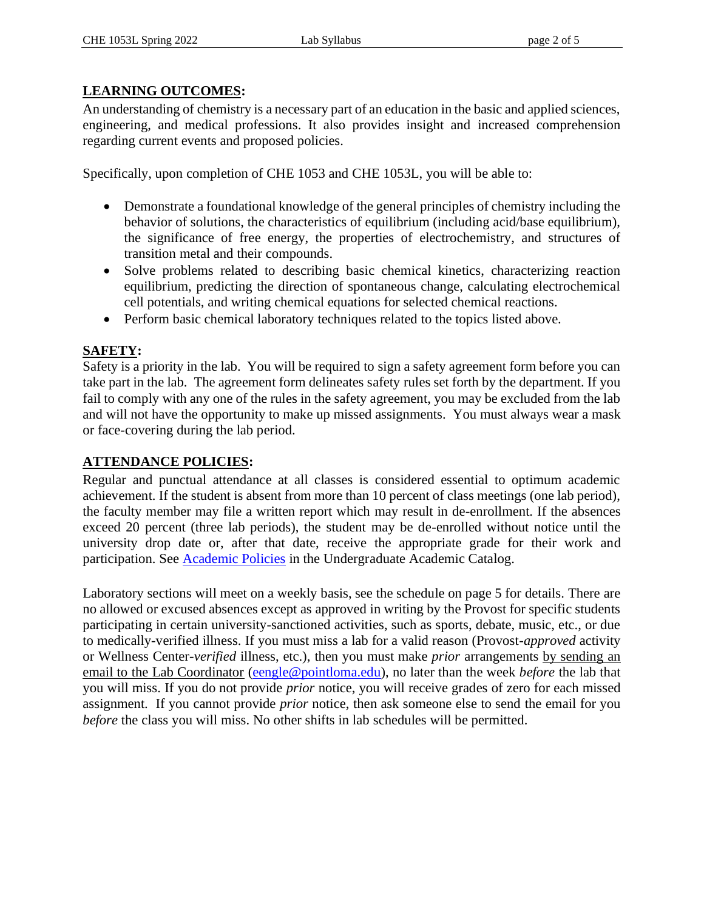## **LEARNING OUTCOMES:**

An understanding of chemistry is a necessary part of an education in the basic and applied sciences, engineering, and medical professions. It also provides insight and increased comprehension regarding current events and proposed policies.

Specifically, upon completion of CHE 1053 and CHE 1053L, you will be able to:

- Demonstrate a foundational knowledge of the general principles of chemistry including the behavior of solutions, the characteristics of equilibrium (including acid/base equilibrium), the significance of free energy, the properties of electrochemistry, and structures of transition metal and their compounds.
- Solve problems related to describing basic chemical kinetics, characterizing reaction equilibrium, predicting the direction of spontaneous change, calculating electrochemical cell potentials, and writing chemical equations for selected chemical reactions.
- Perform basic chemical laboratory techniques related to the topics listed above.

## **SAFETY:**

Safety is a priority in the lab. You will be required to sign a safety agreement form before you can take part in the lab. The agreement form delineates safety rules set forth by the department. If you fail to comply with any one of the rules in the safety agreement, you may be excluded from the lab and will not have the opportunity to make up missed assignments. You must always wear a mask or face-covering during the lab period.

## **ATTENDANCE POLICIES:**

Regular and punctual attendance at all classes is considered essential to optimum academic achievement. If the student is absent from more than 10 percent of class meetings (one lab period), the faculty member may file a written report which may result in de-enrollment. If the absences exceed 20 percent (three lab periods), the student may be de-enrolled without notice until the university drop date or, after that date, receive the appropriate grade for their work and participation. See [Academic Policies](http://catalog.pointloma.edu/content.php?catoid=41&navoid=2435) in the Undergraduate Academic Catalog.

Laboratory sections will meet on a weekly basis, see the schedule on page 5 for details. There are no allowed or excused absences except as approved in writing by the Provost for specific students participating in certain university-sanctioned activities, such as sports, debate, music, etc., or due to medically-verified illness. If you must miss a lab for a valid reason (Provost-*approved* activity or Wellness Center-*verified* illness, etc.), then you must make *prior* arrangements by sending an email to the Lab Coordinator [\(eengle@pointloma.edu\)](mailto:eengle@pointloma.edu), no later than the week *before* the lab that you will miss. If you do not provide *prior* notice, you will receive grades of zero for each missed assignment. If you cannot provide *prior* notice, then ask someone else to send the email for you *before* the class you will miss. No other shifts in lab schedules will be permitted.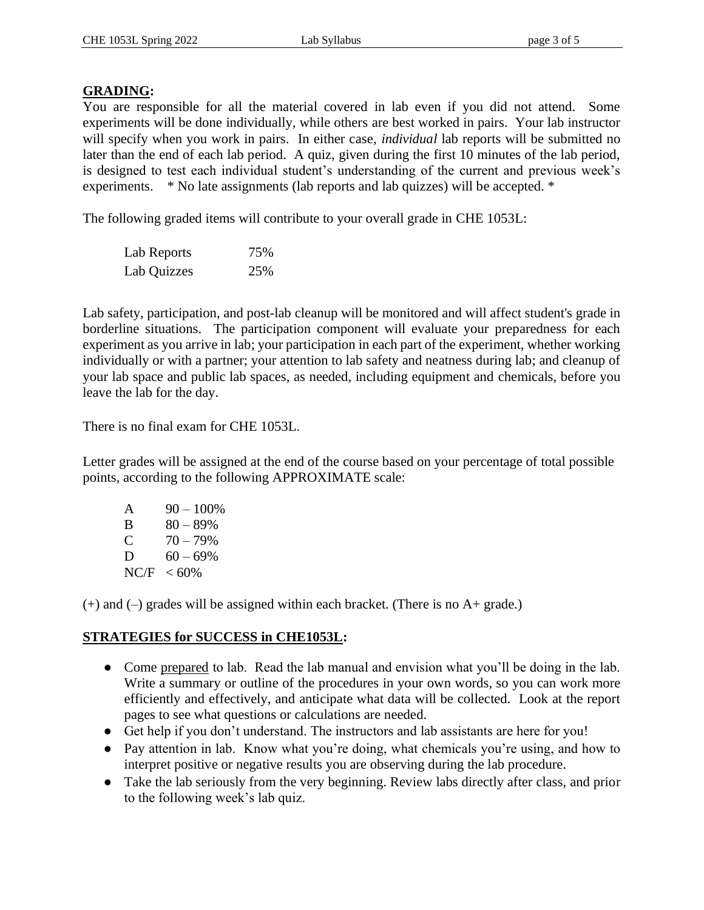#### **GRADING:**

You are responsible for all the material covered in lab even if you did not attend. Some experiments will be done individually, while others are best worked in pairs. Your lab instructor will specify when you work in pairs. In either case, *individual* lab reports will be submitted no later than the end of each lab period. A quiz, given during the first 10 minutes of the lab period, is designed to test each individual student's understanding of the current and previous week's experiments. \* No late assignments (lab reports and lab quizzes) will be accepted. \*

The following graded items will contribute to your overall grade in CHE 1053L:

| Lab Reports | 75% |
|-------------|-----|
| Lab Quizzes | 25% |

Lab safety, participation, and post-lab cleanup will be monitored and will affect student's grade in borderline situations. The participation component will evaluate your preparedness for each experiment as you arrive in lab; your participation in each part of the experiment, whether working individually or with a partner; your attention to lab safety and neatness during lab; and cleanup of your lab space and public lab spaces, as needed, including equipment and chemicals, before you leave the lab for the day.

There is no final exam for CHE 1053L.

Letter grades will be assigned at the end of the course based on your percentage of total possible points, according to the following APPROXIMATE scale:

| A    | $90 - 100\%$ |
|------|--------------|
| B    | $80 - 89\%$  |
| C    | $70 - 79\%$  |
| D    | $60 - 69\%$  |
| NC/F | $< 60\%$     |

 $(+)$  and  $(-)$  grades will be assigned within each bracket. (There is no A+ grade.)

### **STRATEGIES for SUCCESS in CHE1053L:**

- Come prepared to lab. Read the lab manual and envision what you'll be doing in the lab. Write a summary or outline of the procedures in your own words, so you can work more efficiently and effectively, and anticipate what data will be collected. Look at the report pages to see what questions or calculations are needed.
- Get help if you don't understand. The instructors and lab assistants are here for you!
- Pay attention in lab. Know what you're doing, what chemicals you're using, and how to interpret positive or negative results you are observing during the lab procedure.
- Take the lab seriously from the very beginning. Review labs directly after class, and prior to the following week's lab quiz.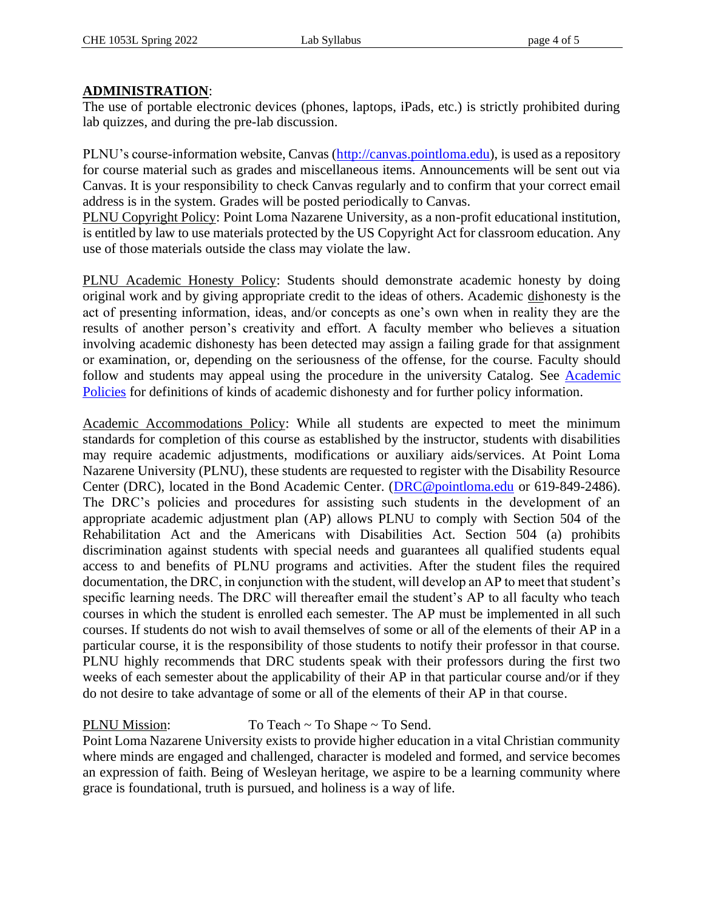#### **ADMINISTRATION**:

The use of portable electronic devices (phones, laptops, iPads, etc.) is strictly prohibited during lab quizzes, and during the pre-lab discussion.

PLNU's course-information website, Canvas [\(http://canvas.pointloma.edu\)](http://canvas.pointloma.edu/), is used as a repository for course material such as grades and miscellaneous items. Announcements will be sent out via Canvas. It is your responsibility to check Canvas regularly and to confirm that your correct email address is in the system. Grades will be posted periodically to Canvas.

PLNU Copyright Policy: Point Loma Nazarene University, as a non-profit educational institution, is entitled by law to use materials protected by the US Copyright Act for classroom education. Any use of those materials outside the class may violate the law.

PLNU Academic Honesty Policy: Students should demonstrate academic honesty by doing original work and by giving appropriate credit to the ideas of others. Academic dishonesty is the act of presenting information, ideas, and/or concepts as one's own when in reality they are the results of another person's creativity and effort. A faculty member who believes a situation involving academic dishonesty has been detected may assign a failing grade for that assignment or examination, or, depending on the seriousness of the offense, for the course. Faculty should follow and students may appeal using the procedure in the university Catalog. See Academic [Policies](http://catalog.pointloma.edu/content.php?catoid=41&navoid=2435) for definitions of kinds of academic dishonesty and for further policy information.

Academic Accommodations Policy: While all students are expected to meet the minimum standards for completion of this course as established by the instructor, students with disabilities may require academic adjustments, modifications or auxiliary aids/services. At Point Loma Nazarene University (PLNU), these students are requested to register with the Disability Resource Center (DRC), located in the Bond Academic Center. [\(DRC@pointloma.edu](mailto:DRC@pointloma.edu) or 619-849-2486). The DRC's policies and procedures for assisting such students in the development of an appropriate academic adjustment plan (AP) allows PLNU to comply with Section 504 of the Rehabilitation Act and the Americans with Disabilities Act. Section 504 (a) prohibits discrimination against students with special needs and guarantees all qualified students equal access to and benefits of PLNU programs and activities. After the student files the required documentation, the DRC, in conjunction with the student, will develop an AP to meet that student's specific learning needs. The DRC will thereafter email the student's AP to all faculty who teach courses in which the student is enrolled each semester. The AP must be implemented in all such courses. If students do not wish to avail themselves of some or all of the elements of their AP in a particular course, it is the responsibility of those students to notify their professor in that course. PLNU highly recommends that DRC students speak with their professors during the first two weeks of each semester about the applicability of their AP in that particular course and/or if they do not desire to take advantage of some or all of the elements of their AP in that course.

## PLNU Mission: To Teach ~ To Shape ~ To Send.

Point Loma Nazarene University exists to provide higher education in a vital Christian community where minds are engaged and challenged, character is modeled and formed, and service becomes an expression of faith. Being of Wesleyan heritage, we aspire to be a learning community where grace is foundational, truth is pursued, and holiness is a way of life.